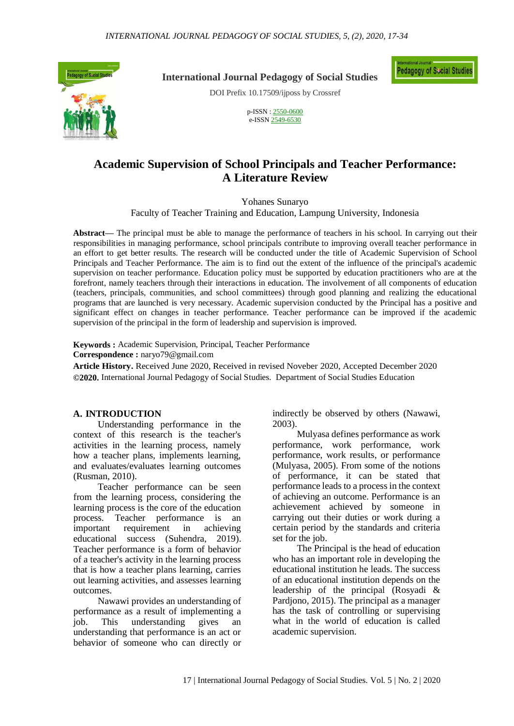

**International Journal Pedagogy of Social Studies**

DOI Prefix 10.17509/ijposs by Crossref

p-ISSN : [2550-0600](http://u.lipi.go.id/1488284460) e-ISS[N 2549-6530](http://u.lipi.go.id/1484553327)

## **Academic Supervision of School Principals and Teacher Performance: A Literature Review**

Yohanes Sunaryo

Faculty of Teacher Training and Education, Lampung University, Indonesia

**Abstract—** The principal must be able to manage the performance of teachers in his school. In carrying out their responsibilities in managing performance, school principals contribute to improving overall teacher performance in an effort to get better results. The research will be conducted under the title of Academic Supervision of School Principals and Teacher Performance. The aim is to find out the extent of the influence of the principal's academic supervision on teacher performance. Education policy must be supported by education practitioners who are at the forefront, namely teachers through their interactions in education. The involvement of all components of education (teachers, principals, communities, and school committees) through good planning and realizing the educational programs that are launched is very necessary. Academic supervision conducted by the Principal has a positive and significant effect on changes in teacher performance. Teacher performance can be improved if the academic supervision of the principal in the form of leadership and supervision is improved.

**Keywords :** Academic Supervision, Principal, Teacher Performance **Correspondence :** naryo79@gmail.com

**Article History.** Received June 2020, Received in revised Noveber 2020, Accepted December 2020 **©2020.** International Journal Pedagogy of Social Studies. Department of Social Studies Education

#### **A. INTRODUCTION**

Understanding performance in the context of this research is the teacher's activities in the learning process, namely how a teacher plans, implements learning, and evaluates/evaluates learning outcomes (Rusman, 2010).

Teacher performance can be seen from the learning process, considering the learning process is the core of the education process. Teacher performance is an important requirement in achieving educational success (Suhendra, 2019). Teacher performance is a form of behavior of a teacher's activity in the learning process that is how a teacher plans learning, carries out learning activities, and assesses learning outcomes.

Nawawi provides an understanding of performance as a result of implementing a job. This understanding gives an understanding that performance is an act or behavior of someone who can directly or

indirectly be observed by others (Nawawi, 2003).

Mulyasa defines performance as work performance, work performance, work performance, work results, or performance (Mulyasa, 2005). From some of the notions of performance, it can be stated that performance leads to a process in the context of achieving an outcome. Performance is an achievement achieved by someone in carrying out their duties or work during a certain period by the standards and criteria set for the job.

The Principal is the head of education who has an important role in developing the educational institution he leads. The success of an educational institution depends on the leadership of the principal (Rosyadi & Pardjono, 2015). The principal as a manager has the task of controlling or supervising what in the world of education is called academic supervision.

**Pedagogy of Social Studies**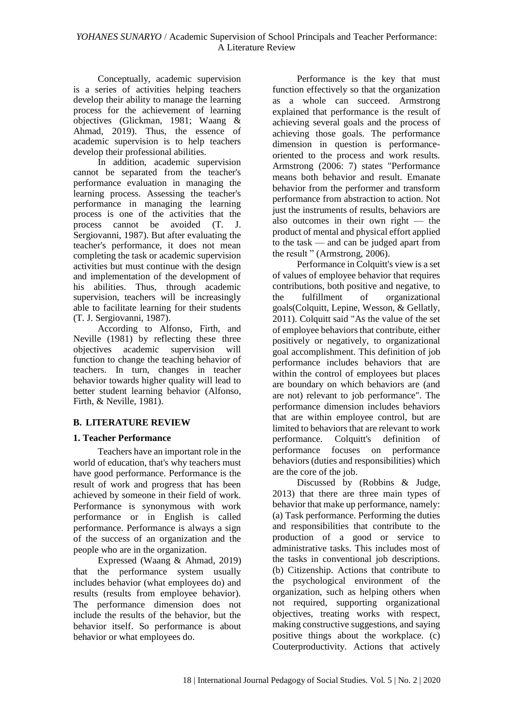Conceptually, academic supervision is a series of activities helping teachers develop their ability to manage the learning process for the achievement of learning objectives (Glickman, 1981; Waang  $\&$ Ahmad, 2019). Thus, the essence of academic supervision is to help teachers develop their professional abilities.

In addition, academic supervision cannot be separated from the teacher's performance evaluation in managing the learning process. Assessing the teacher's performance in managing the learning process is one of the activities that the process cannot be avoided (T. J. Sergiovanni, 1987). But after evaluating the teacher's performance, it does not mean completing the task or academic supervision activities but must continue with the design and implementation of the development of his abilities. Thus, through academic supervision, teachers will be increasingly able to facilitate learning for their students (T. J. Sergiovanni, 1987).

According to Alfonso, Firth, and Neville (1981) by reflecting these three objectives academic supervision will function to change the teaching behavior of teachers. In turn, changes in teacher behavior towards higher quality will lead to better student learning behavior (Alfonso, Firth, & Neville, 1981).

## **B. LITERATURE REVIEW**

## **1. Teacher Performance**

Teachers have an important role in the world of education, that's why teachers must have good performance. Performance is the result of work and progress that has been achieved by someone in their field of work. Performance is synonymous with work performance or in English is called performance. Performance is always a sign of the success of an organization and the people who are in the organization.

Expressed (Waang & Ahmad, 2019) that the performance system usually includes behavior (what employees do) and results (results from employee behavior). The performance dimension does not include the results of the behavior, but the behavior itself. So performance is about behavior or what employees do.

Performance is the key that must function effectively so that the organization as a whole can succeed. Armstrong explained that performance is the result of achieving several goals and the process of achieving those goals. The performance dimension in question is performanceoriented to the process and work results. Armstrong (2006: 7) states "Performance means both behavior and result. Emanate behavior from the performer and transform performance from abstraction to action. Not just the instruments of results, behaviors are also outcomes in their own right — the product of mental and physical effort applied to the task — and can be judged apart from the result " (Armstrong, 2006).

Performance in Colquitt's view is a set of values of employee behavior that requires contributions, both positive and negative, to the fulfillment of organizational goals(Colquitt, Lepine, Wesson, & Gellatly, 2011). Colquitt said "As the value of the set of employee behaviors that contribute, either positively or negatively, to organizational goal accomplishment. This definition of job performance includes behaviors that are within the control of employees but places are boundary on which behaviors are (and are not) relevant to job performance". The performance dimension includes behaviors that are within employee control, but are limited to behaviors that are relevant to work performance. Colquitt's definition of performance focuses on performance behaviors (duties and responsibilities) which are the core of the job.

Discussed by (Robbins & Judge, 2013) that there are three main types of behavior that make up performance, namely: (a) Task performance. Performing the duties and responsibilities that contribute to the production of a good or service to administrative tasks. This includes most of the tasks in conventional job descriptions. (b) Citizenship. Actions that contribute to the psychological environment of the organization, such as helping others when not required, supporting organizational objectives, treating works with respect, making constructive suggestions, and saying positive things about the workplace. (c) Couterproductivity. Actions that actively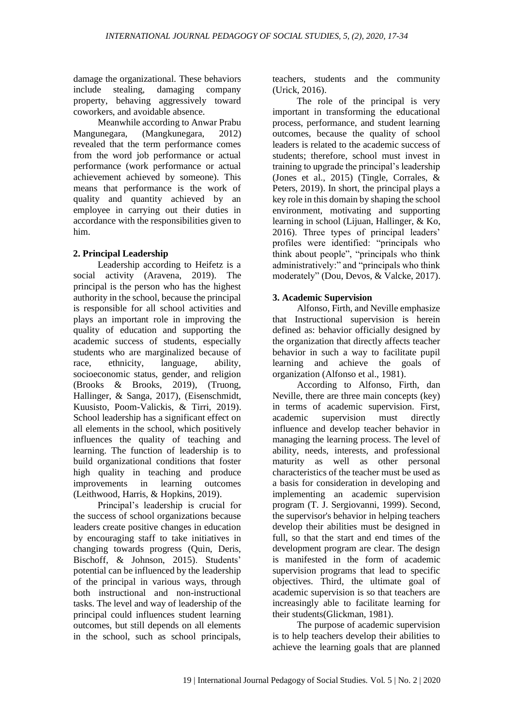damage the organizational. These behaviors include stealing, damaging company property, behaving aggressively toward coworkers, and avoidable absence.

Meanwhile according to Anwar Prabu Mangunegara, (Mangkunegara, 2012) revealed that the term performance comes from the word job performance or actual performance (work performance or actual achievement achieved by someone). This means that performance is the work of quality and quantity achieved by an employee in carrying out their duties in accordance with the responsibilities given to him.

## **2. Principal Leadership**

Leadership according to Heifetz is a social activity (Aravena, 2019). The principal is the person who has the highest authority in the school, because the principal is responsible for all school activities and plays an important role in improving the quality of education and supporting the academic success of students, especially students who are marginalized because of race, ethnicity, language, ability, socioeconomic status, gender, and religion (Brooks & Brooks, 2019), (Truong, Hallinger, & Sanga, 2017), (Eisenschmidt, Kuusisto, Poom-Valickis, & Tirri, 2019). School leadership has a significant effect on all elements in the school, which positively influences the quality of teaching and learning. The function of leadership is to build organizational conditions that foster high quality in teaching and produce improvements in learning outcomes (Leithwood, Harris, & Hopkins, 2019).

Principal's leadership is crucial for the success of school organizations because leaders create positive changes in education by encouraging staff to take initiatives in changing towards progress (Quin, Deris, Bischoff, & Johnson, 2015). Students' potential can be influenced by the leadership of the principal in various ways, through both instructional and non-instructional tasks. The level and way of leadership of the principal could influences student learning outcomes, but still depends on all elements in the school, such as school principals,

teachers, students and the community (Urick, 2016).

The role of the principal is very important in transforming the educational process, performance, and student learning outcomes, because the quality of school leaders is related to the academic success of students; therefore, school must invest in training to upgrade the principal's leadership (Jones et al., 2015) (Tingle, Corrales, & Peters, 2019). In short, the principal plays a key role in this domain by shaping the school environment, motivating and supporting learning in school (Lijuan, Hallinger, & Ko, 2016). Three types of principal leaders' profiles were identified: "principals who think about people", "principals who think administratively:" and "principals who think moderately" (Dou, Devos, & Valcke, 2017).

## **3. Academic Supervision**

Alfonso, Firth, and Neville emphasize that Instructional supervision is herein defined as: behavior officially designed by the organization that directly affects teacher behavior in such a way to facilitate pupil learning and achieve the goals of organization (Alfonso et al., 1981).

According to Alfonso, Firth, dan Neville, there are three main concepts (key) in terms of academic supervision. First, academic supervision must directly influence and develop teacher behavior in managing the learning process. The level of ability, needs, interests, and professional maturity as well as other personal characteristics of the teacher must be used as a basis for consideration in developing and implementing an academic supervision program (T. J. Sergiovanni, 1999). Second, the supervisor's behavior in helping teachers develop their abilities must be designed in full, so that the start and end times of the development program are clear. The design is manifested in the form of academic supervision programs that lead to specific objectives. Third, the ultimate goal of academic supervision is so that teachers are increasingly able to facilitate learning for their students(Glickman, 1981).

The purpose of academic supervision is to help teachers develop their abilities to achieve the learning goals that are planned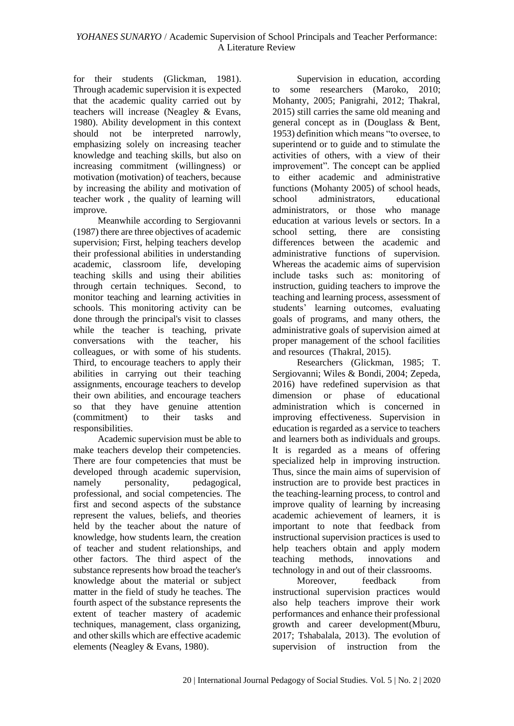for their students (Glickman, 1981). Through academic supervision it is expected that the academic quality carried out by teachers will increase (Neagley & Evans, 1980). Ability development in this context should not be interpreted narrowly, emphasizing solely on increasing teacher knowledge and teaching skills, but also on increasing commitment (willingness) or motivation (motivation) of teachers, because by increasing the ability and motivation of teacher work , the quality of learning will improve.

Meanwhile according to Sergiovanni (1987) there are three objectives of academic supervision; First, helping teachers develop their professional abilities in understanding academic, classroom life, developing teaching skills and using their abilities through certain techniques. Second, to monitor teaching and learning activities in schools. This monitoring activity can be done through the principal's visit to classes while the teacher is teaching, private conversations with the teacher, his colleagues, or with some of his students. Third, to encourage teachers to apply their abilities in carrying out their teaching assignments, encourage teachers to develop their own abilities, and encourage teachers so that they have genuine attention<br>(commitment) to their tasks and (commitment) to their tasks and responsibilities.

Academic supervision must be able to make teachers develop their competencies. There are four competencies that must be developed through academic supervision, namely personality, pedagogical, professional, and social competencies. The first and second aspects of the substance represent the values, beliefs, and theories held by the teacher about the nature of knowledge, how students learn, the creation of teacher and student relationships, and other factors. The third aspect of the substance represents how broad the teacher's knowledge about the material or subject matter in the field of study he teaches. The fourth aspect of the substance represents the extent of teacher mastery of academic techniques, management, class organizing, and other skills which are effective academic elements (Neagley & Evans, 1980).

Supervision in education, according to some researchers (Maroko, 2010; Mohanty, 2005; Panigrahi, 2012; Thakral, 2015) still carries the same old meaning and general concept as in (Douglass & Bent, 1953) definition which means "to oversee, to superintend or to guide and to stimulate the activities of others, with a view of their improvement". The concept can be applied to either academic and administrative functions (Mohanty 2005) of school heads, school administrators, educational administrators, or those who manage education at various levels or sectors. In a school setting, there are consisting differences between the academic and administrative functions of supervision. Whereas the academic aims of supervision include tasks such as: monitoring of instruction, guiding teachers to improve the teaching and learning process, assessment of students' learning outcomes, evaluating goals of programs, and many others, the administrative goals of supervision aimed at proper management of the school facilities and resources (Thakral, 2015).

Researchers (Glickman, 1985; T. Sergiovanni; Wiles & Bondi, 2004; Zepeda, 2016) have redefined supervision as that dimension or phase of educational administration which is concerned in improving effectiveness. Supervision in education is regarded as a service to teachers and learners both as individuals and groups. It is regarded as a means of offering specialized help in improving instruction. Thus, since the main aims of supervision of instruction are to provide best practices in the teaching-learning process, to control and improve quality of learning by increasing academic achievement of learners, it is important to note that feedback from instructional supervision practices is used to help teachers obtain and apply modern teaching methods, innovations and technology in and out of their classrooms.

Moreover, feedback from instructional supervision practices would also help teachers improve their work performances and enhance their professional growth and career development(Mburu, 2017; Tshabalala, 2013). The evolution of supervision of instruction from the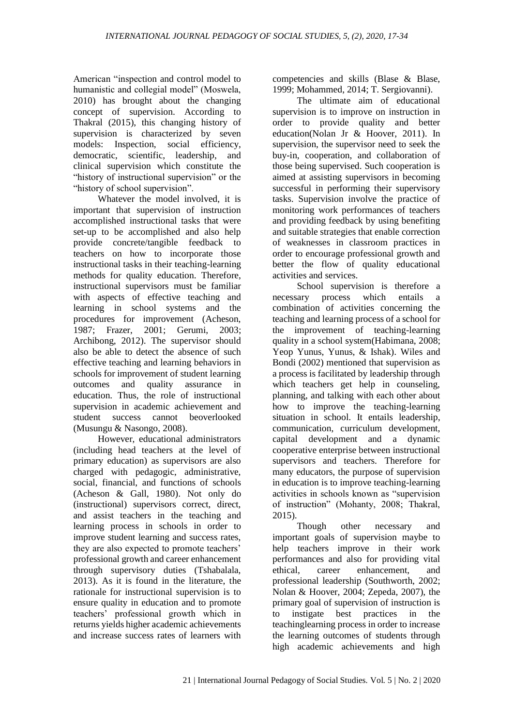American "inspection and control model to humanistic and collegial model" (Moswela, 2010) has brought about the changing concept of supervision. According to Thakral (2015), this changing history of supervision is characterized by seven models: Inspection, social efficiency, democratic, scientific, leadership, and clinical supervision which constitute the "history of instructional supervision" or the "history of school supervision".

Whatever the model involved, it is important that supervision of instruction accomplished instructional tasks that were set-up to be accomplished and also help provide concrete/tangible feedback to teachers on how to incorporate those instructional tasks in their teaching-learning methods for quality education. Therefore, instructional supervisors must be familiar with aspects of effective teaching and learning in school systems and the procedures for improvement (Acheson, 1987; Frazer, 2001; Gerumi, 2003; Archibong, 2012). The supervisor should also be able to detect the absence of such effective teaching and learning behaviors in schools for improvement of student learning outcomes and quality assurance in education. Thus, the role of instructional supervision in academic achievement and student success cannot beoverlooked (Musungu & Nasongo, 2008).

However, educational administrators (including head teachers at the level of primary education) as supervisors are also charged with pedagogic, administrative, social, financial, and functions of schools (Acheson & Gall, 1980). Not only do (instructional) supervisors correct, direct, and assist teachers in the teaching and learning process in schools in order to improve student learning and success rates, they are also expected to promote teachers' professional growth and career enhancement through supervisory duties (Tshabalala, 2013). As it is found in the literature, the rationale for instructional supervision is to ensure quality in education and to promote teachers' professional growth which in returns yields higher academic achievements and increase success rates of learners with

competencies and skills (Blase & Blase, 1999; Mohammed, 2014; T. Sergiovanni).

The ultimate aim of educational supervision is to improve on instruction in order to provide quality and better education(Nolan Jr & Hoover, 2011). In supervision, the supervisor need to seek the buy-in, cooperation, and collaboration of those being supervised. Such cooperation is aimed at assisting supervisors in becoming successful in performing their supervisory tasks. Supervision involve the practice of monitoring work performances of teachers and providing feedback by using benefiting and suitable strategies that enable correction of weaknesses in classroom practices in order to encourage professional growth and better the flow of quality educational activities and services.

School supervision is therefore a necessary process which entails a combination of activities concerning the teaching and learning process of a school for the improvement of teaching-learning quality in a school system(Habimana, 2008; Yeop Yunus, Yunus, & Ishak). Wiles and Bondi (2002) mentioned that supervision as a process is facilitated by leadership through which teachers get help in counseling. planning, and talking with each other about how to improve the teaching-learning situation in school. It entails leadership, communication, curriculum development, capital development and a dynamic cooperative enterprise between instructional supervisors and teachers. Therefore for many educators, the purpose of supervision in education is to improve teaching-learning activities in schools known as "supervision of instruction" (Mohanty, 2008; Thakral, 2015).

Though other necessary and important goals of supervision maybe to help teachers improve in their work performances and also for providing vital ethical, career enhancement, and professional leadership (Southworth, 2002; Nolan & Hoover, 2004; Zepeda, 2007), the primary goal of supervision of instruction is to instigate best practices in the teachinglearning process in order to increase the learning outcomes of students through high academic achievements and high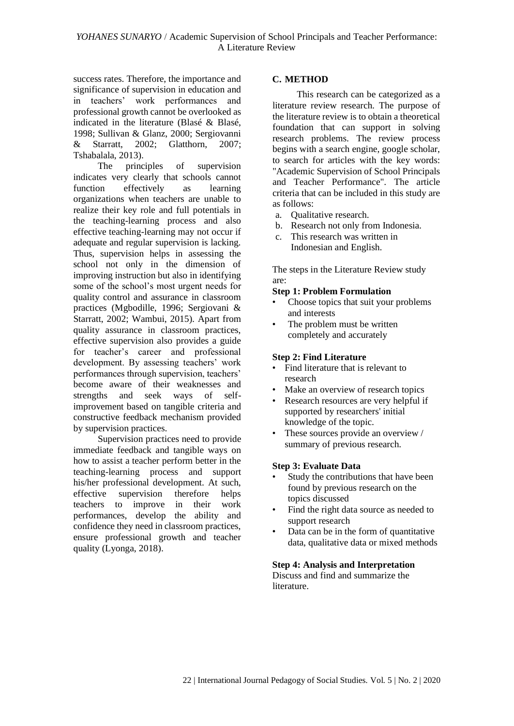success rates. Therefore, the importance and significance of supervision in education and in teachers' work performances and professional growth cannot be overlooked as indicated in the literature (Blasé & Blasé, 1998; Sullivan & Glanz, 2000; Sergiovanni & Starratt, 2002; Glatthorn, 2007; Tshabalala, 2013).

The principles of supervision indicates very clearly that schools cannot function effectively as learning organizations when teachers are unable to realize their key role and full potentials in the teaching-learning process and also effective teaching-learning may not occur if adequate and regular supervision is lacking. Thus, supervision helps in assessing the school not only in the dimension of improving instruction but also in identifying some of the school's most urgent needs for quality control and assurance in classroom practices (Mgbodille, 1996; Sergiovani & Starratt, 2002; Wambui, 2015). Apart from quality assurance in classroom practices, effective supervision also provides a guide for teacher's career and professional development. By assessing teachers' work performances through supervision, teachers' become aware of their weaknesses and strengths and seek ways of selfimprovement based on tangible criteria and constructive feedback mechanism provided by supervision practices.

Supervision practices need to provide immediate feedback and tangible ways on how to assist a teacher perform better in the teaching-learning process and support his/her professional development. At such, effective supervision therefore helps teachers to improve in their work performances, develop the ability and confidence they need in classroom practices, ensure professional growth and teacher quality (Lyonga, 2018).

## **C. METHOD**

This research can be categorized as a literature review research. The purpose of the literature review is to obtain a theoretical foundation that can support in solving research problems. The review process begins with a search engine, google scholar, to search for articles with the key words: "Academic Supervision of School Principals and Teacher Performance". The article criteria that can be included in this study are as follows:

- a. Qualitative research.
- b. Research not only from Indonesia.
- c. This research was written in
- Indonesian and English.

The steps in the Literature Review study are:

#### **Step 1: Problem Formulation**

- Choose topics that suit your problems and interests
- The problem must be written completely and accurately

#### **Step 2: Find Literature**

- Find literature that is relevant to research
- Make an overview of research topics
- Research resources are very helpful if supported by researchers' initial knowledge of the topic.
- These sources provide an overview / summary of previous research.

#### **Step 3: Evaluate Data**

- Study the contributions that have been found by previous research on the topics discussed
- Find the right data source as needed to support research
- Data can be in the form of quantitative data, qualitative data or mixed methods

# **Step 4: Analysis and Interpretation**

Discuss and find and summarize the literature.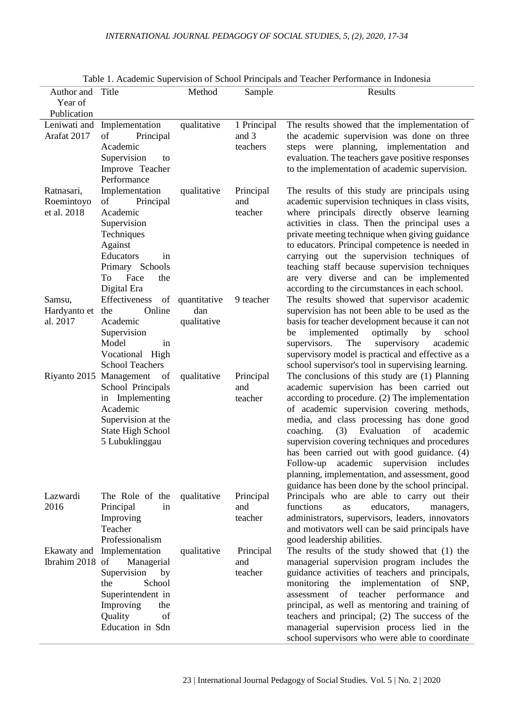| Author and Title                        |                                                                                                                                                                 | Method                                | Sample                           | Table 1. Academic Supervision of School Principals and Teacher Performance in Indonesia<br>Results                                                                                                                                                                                                                                                                                                                                                                                                                                            |
|-----------------------------------------|-----------------------------------------------------------------------------------------------------------------------------------------------------------------|---------------------------------------|----------------------------------|-----------------------------------------------------------------------------------------------------------------------------------------------------------------------------------------------------------------------------------------------------------------------------------------------------------------------------------------------------------------------------------------------------------------------------------------------------------------------------------------------------------------------------------------------|
| Year of                                 |                                                                                                                                                                 |                                       |                                  |                                                                                                                                                                                                                                                                                                                                                                                                                                                                                                                                               |
| Publication                             |                                                                                                                                                                 |                                       |                                  |                                                                                                                                                                                                                                                                                                                                                                                                                                                                                                                                               |
| Leniwati and<br>Arafat 2017             | Implementation<br>of<br>Principal<br>Academic<br>Supervision<br>to<br>Improve Teacher<br>Performance                                                            | qualitative                           | 1 Principal<br>and 3<br>teachers | The results showed that the implementation of<br>the academic supervision was done on three<br>steps were planning, implementation and<br>evaluation. The teachers gave positive responses<br>to the implementation of academic supervision.                                                                                                                                                                                                                                                                                                  |
| Ratnasari,<br>Roemintoyo<br>et al. 2018 | Implementation<br>of<br>Principal<br>Academic<br>Supervision<br>Techniques<br>Against<br>Educators<br>in<br>Primary Schools<br>To<br>Face<br>the<br>Digital Era | qualitative                           | Principal<br>and<br>teacher      | The results of this study are principals using<br>academic supervision techniques in class visits,<br>where principals directly observe learning<br>activities in class. Then the principal uses a<br>private meeting technique when giving guidance<br>to educators. Principal competence is needed in<br>carrying out the supervision techniques of<br>teaching staff because supervision techniques<br>are very diverse and can be implemented<br>according to the circumstances in each school.                                           |
| Samsu,<br>Hardyanto et<br>al. 2017      | Effectiveness<br>Online<br>the<br>Academic<br>Supervision<br>Model<br>in<br>Vocational High<br><b>School Teachers</b>                                           | of quantitative<br>dan<br>qualitative | 9 teacher                        | The results showed that supervisor academic<br>supervision has not been able to be used as the<br>basis for teacher development because it can not<br>implemented<br>optimally<br>by<br>school<br>be<br>supervisors.<br>The<br>supervisory<br>academic<br>supervisory model is practical and effective as a<br>school supervisor's tool in supervising learning.                                                                                                                                                                              |
|                                         | Riyanto 2015 Management of<br>School Principals<br>in Implementing<br>Academic<br>Supervision at the<br><b>State High School</b><br>5 Lubuklinggau              | qualitative                           | Principal<br>and<br>teacher      | The conclusions of this study are (1) Planning<br>academic supervision has been carried out<br>according to procedure. (2) The implementation<br>of academic supervision covering methods,<br>media, and class processing has done good<br>coaching.<br>(3)<br>Evaluation<br>of<br>academic<br>supervision covering techniques and procedures<br>has been carried out with good guidance. (4)<br>Follow-up academic supervision includes<br>planning, implementation, and assessment, good<br>guidance has been done by the school principal. |
| Lazwardi<br>2016                        | The Role of the<br>Principal<br>in<br>Improving<br>Teacher<br>Professionalism                                                                                   | qualitative                           | Principal<br>and<br>teacher      | Principals who are able to carry out their<br>functions<br>as<br>educators,<br>managers,<br>administrators, supervisors, leaders, innovators<br>and motivators well can be said principals have<br>good leadership abilities.                                                                                                                                                                                                                                                                                                                 |
| Ekawaty and<br>Ibrahim 2018 of          | Implementation<br>Managerial<br>Supervision<br>by<br>School<br>the<br>Superintendent in<br>Improving<br>the<br>Quality<br>of<br>Education in Sdn                | qualitative                           | Principal<br>and<br>teacher      | The results of the study showed that (1) the<br>managerial supervision program includes the<br>guidance activities of teachers and principals,<br>monitoring<br>the implementation of<br>SNP,<br>teacher performance<br>assessment<br>of<br>and<br>principal, as well as mentoring and training of<br>teachers and principal; (2) The success of the<br>managerial supervision process lied in the<br>school supervisors who were able to coordinate                                                                                          |

| Table 1. Academic Supervision of School Principals and Teacher Performance in Indonesia |  |  |
|-----------------------------------------------------------------------------------------|--|--|
|-----------------------------------------------------------------------------------------|--|--|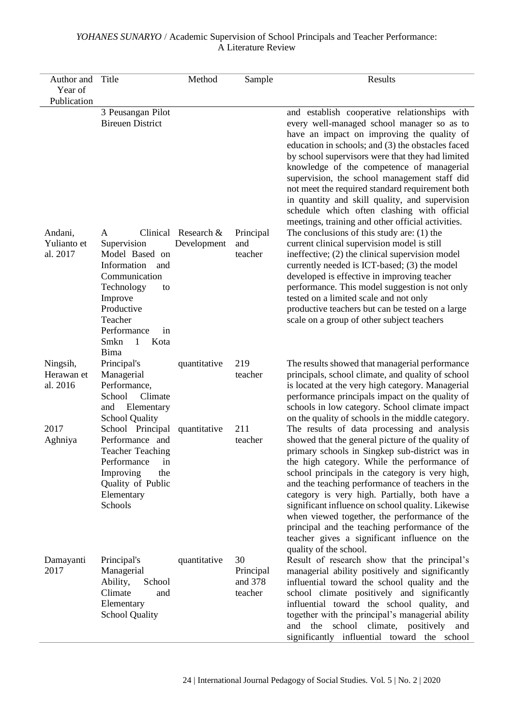| Author and<br>Year of<br>Publication | Title                                                                                                                                                                                            | Method                               | Sample                                | Results                                                                                                                                                                                                                                                                                                                                                                                                                                                                                                                                                                                  |
|--------------------------------------|--------------------------------------------------------------------------------------------------------------------------------------------------------------------------------------------------|--------------------------------------|---------------------------------------|------------------------------------------------------------------------------------------------------------------------------------------------------------------------------------------------------------------------------------------------------------------------------------------------------------------------------------------------------------------------------------------------------------------------------------------------------------------------------------------------------------------------------------------------------------------------------------------|
|                                      | 3 Peusangan Pilot<br><b>Bireuen District</b>                                                                                                                                                     |                                      |                                       | and establish cooperative relationships with<br>every well-managed school manager so as to<br>have an impact on improving the quality of<br>education in schools; and (3) the obstacles faced<br>by school supervisors were that they had limited<br>knowledge of the competence of managerial<br>supervision, the school management staff did<br>not meet the required standard requirement both<br>in quantity and skill quality, and supervision<br>schedule which often clashing with official<br>meetings, training and other official activities.                                  |
| Andani,<br>Yulianto et<br>al. 2017   | A<br>Supervision<br>Model Based on<br>Information<br>and<br>Communication<br>Technology<br>to<br>Improve<br>Productive<br>Teacher<br>Performance<br>in<br>Smkn<br>$\overline{1}$<br>Kota<br>Bima | Clinical Research $&$<br>Development | Principal<br>and<br>teacher           | The conclusions of this study are: $(1)$ the<br>current clinical supervision model is still<br>ineffective; (2) the clinical supervision model<br>currently needed is ICT-based; (3) the model<br>developed is effective in improving teacher<br>performance. This model suggestion is not only<br>tested on a limited scale and not only<br>productive teachers but can be tested on a large<br>scale on a group of other subject teachers                                                                                                                                              |
| Ningsih,<br>Herawan et<br>al. 2016   | Principal's<br>Managerial<br>Performance,<br>Climate<br>School<br>Elementary<br>and<br><b>School Quality</b>                                                                                     | quantitative                         | 219<br>teacher                        | The results showed that managerial performance<br>principals, school climate, and quality of school<br>is located at the very high category. Managerial<br>performance principals impact on the quality of<br>schools in low category. School climate impact<br>on the quality of schools in the middle category.                                                                                                                                                                                                                                                                        |
| 2017<br>Aghniya                      | School Principal<br>Performance and<br><b>Teacher Teaching</b><br>Performance<br>in<br>Improving<br>the<br>Quality of Public<br>Elementary<br>Schools                                            | quantitative                         | 211<br>teacher                        | The results of data processing and analysis<br>showed that the general picture of the quality of<br>primary schools in Singkep sub-district was in<br>the high category. While the performance of<br>school principals in the category is very high,<br>and the teaching performance of teachers in the<br>category is very high. Partially, both have a<br>significant influence on school quality. Likewise<br>when viewed together, the performance of the<br>principal and the teaching performance of the<br>teacher gives a significant influence on the<br>quality of the school. |
| Damayanti<br>2017                    | Principal's<br>Managerial<br>Ability,<br>School<br>Climate<br>and<br>Elementary<br><b>School Quality</b>                                                                                         | quantitative                         | 30<br>Principal<br>and 378<br>teacher | Result of research show that the principal's<br>managerial ability positively and significantly<br>influential toward the school quality and the<br>school climate positively and significantly<br>influential toward the school quality, and<br>together with the principal's managerial ability<br>and the school climate, positively and<br>significantly influential toward the school                                                                                                                                                                                               |

## *YOHANES SUNARYO* / Academic Supervision of School Principals and Teacher Performance: A Literature Review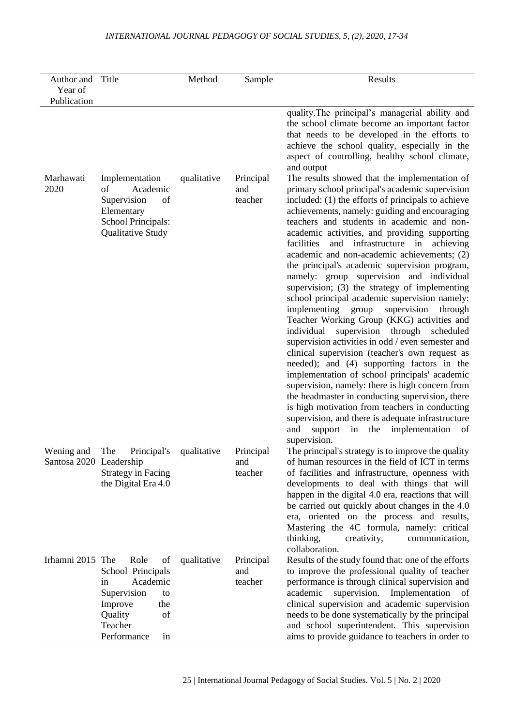## *INTERNATIONAL JOURNAL PEDAGOGY OF SOCIAL STUDIES, 5, (2), 2020, 17-34*

| Author and Title<br>Year of           |                                                                                                                                           | Method      | Sample                      | Results                                                                                                                                                                                                                                                                                                                                                                                                                                                                                                                                                                                                                                                                                                                                                                                                                                                                                                                                                                                                                                                                                                                                                                                                                                   |
|---------------------------------------|-------------------------------------------------------------------------------------------------------------------------------------------|-------------|-----------------------------|-------------------------------------------------------------------------------------------------------------------------------------------------------------------------------------------------------------------------------------------------------------------------------------------------------------------------------------------------------------------------------------------------------------------------------------------------------------------------------------------------------------------------------------------------------------------------------------------------------------------------------------------------------------------------------------------------------------------------------------------------------------------------------------------------------------------------------------------------------------------------------------------------------------------------------------------------------------------------------------------------------------------------------------------------------------------------------------------------------------------------------------------------------------------------------------------------------------------------------------------|
| Publication                           |                                                                                                                                           |             |                             |                                                                                                                                                                                                                                                                                                                                                                                                                                                                                                                                                                                                                                                                                                                                                                                                                                                                                                                                                                                                                                                                                                                                                                                                                                           |
|                                       |                                                                                                                                           |             |                             | quality. The principal's managerial ability and<br>the school climate become an important factor<br>that needs to be developed in the efforts to<br>achieve the school quality, especially in the<br>aspect of controlling, healthy school climate,<br>and output                                                                                                                                                                                                                                                                                                                                                                                                                                                                                                                                                                                                                                                                                                                                                                                                                                                                                                                                                                         |
| Marhawati<br>2020                     | Implementation<br>Academic<br>of<br>Supervision<br>of<br>Elementary<br>School Principals:<br>Qualitative Study                            | qualitative | Principal<br>and<br>teacher | The results showed that the implementation of<br>primary school principal's academic supervision<br>included: (1) the efforts of principals to achieve<br>achievements, namely: guiding and encouraging<br>teachers and students in academic and non-<br>academic activities, and providing supporting<br>infrastructure in achieving<br>facilities<br>and<br>academic and non-academic achievements; (2)<br>the principal's academic supervision program,<br>namely: group supervision and individual<br>supervision; (3) the strategy of implementing<br>school principal academic supervision namely:<br>implementing group<br>supervision<br>through<br>Teacher Working Group (KKG) activities and<br>individual<br>supervision through scheduled<br>supervision activities in odd / even semester and<br>clinical supervision (teacher's own request as<br>needed); and (4) supporting factors in the<br>implementation of school principals' academic<br>supervision, namely: there is high concern from<br>the headmaster in conducting supervision, there<br>is high motivation from teachers in conducting<br>supervision, and there is adequate infrastructure<br>and<br>support<br>in the implementation<br>of<br>supervision. |
| Wening and<br>Santosa 2020 Leadership | The<br>Principal's<br><b>Strategy in Facing</b><br>the Digital Era 4.0                                                                    | qualitative | Principal<br>and<br>teacher | The principal's strategy is to improve the quality<br>of human resources in the field of ICT in terms<br>of facilities and infrastructure, openness with<br>developments to deal with things that will<br>happen in the digital 4.0 era, reactions that will<br>be carried out quickly about changes in the 4.0<br>era, oriented on the process and results,<br>Mastering the 4C formula, namely: critical<br>thinking,<br>creativity,<br>communication,<br>collaboration.                                                                                                                                                                                                                                                                                                                                                                                                                                                                                                                                                                                                                                                                                                                                                                |
| Irhamni 2015 The                      | Role<br>of<br>School Principals<br>Academic<br>1n<br>Supervision<br>to<br>Improve<br>the<br>Quality<br>of<br>Teacher<br>Performance<br>in | qualitative | Principal<br>and<br>teacher | Results of the study found that: one of the efforts<br>to improve the professional quality of teacher<br>performance is through clinical supervision and<br>supervision. Implementation of<br>academic<br>clinical supervision and academic supervision<br>needs to be done systematically by the principal<br>and school superintendent. This supervision<br>aims to provide guidance to teachers in order to                                                                                                                                                                                                                                                                                                                                                                                                                                                                                                                                                                                                                                                                                                                                                                                                                            |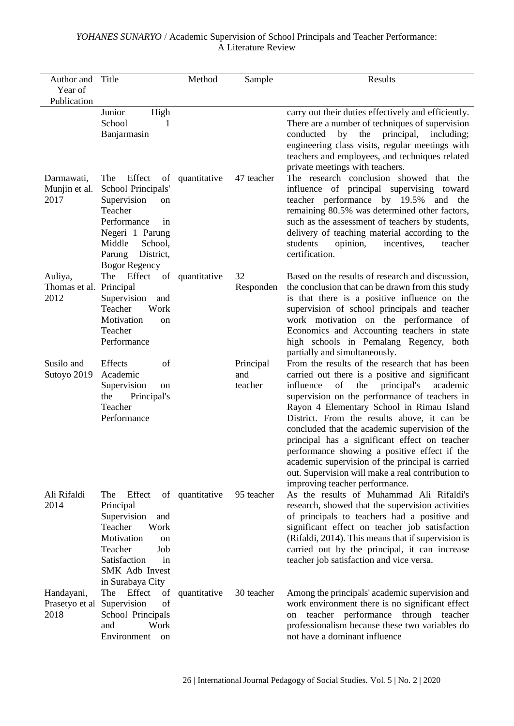## *YOHANES SUNARYO* / Academic Supervision of School Principals and Teacher Performance: A Literature Review

| Author and                                 | Title                                                                                                                                                                                 | Method          | Sample                      | Results                                                                                                                                                                                                                                                                                                                                                                                                                                                                                                                                                                                           |
|--------------------------------------------|---------------------------------------------------------------------------------------------------------------------------------------------------------------------------------------|-----------------|-----------------------------|---------------------------------------------------------------------------------------------------------------------------------------------------------------------------------------------------------------------------------------------------------------------------------------------------------------------------------------------------------------------------------------------------------------------------------------------------------------------------------------------------------------------------------------------------------------------------------------------------|
| Year of                                    |                                                                                                                                                                                       |                 |                             |                                                                                                                                                                                                                                                                                                                                                                                                                                                                                                                                                                                                   |
| Publication                                | Junior                                                                                                                                                                                |                 |                             |                                                                                                                                                                                                                                                                                                                                                                                                                                                                                                                                                                                                   |
|                                            | High<br>School<br>1<br>Banjarmasin                                                                                                                                                    |                 |                             | carry out their duties effectively and efficiently.<br>There are a number of techniques of supervision<br>principal,<br>conducted<br>by<br>the<br>including;<br>engineering class visits, regular meetings with<br>teachers and employees, and techniques related<br>private meetings with teachers.                                                                                                                                                                                                                                                                                              |
| Darmawati,<br>Munjin et al.<br>2017        | Effect<br>The<br>of<br>School Principals'<br>Supervision<br>on<br>Teacher<br>Performance<br>in<br>Negeri 1 Parung<br>Middle<br>School,<br>District,<br>Parung<br><b>Bogor Regency</b> | quantitative    | 47 teacher                  | The research conclusion showed that the<br>influence of principal supervising toward<br>teacher performance by 19.5%<br>and the<br>remaining 80.5% was determined other factors,<br>such as the assessment of teachers by students,<br>delivery of teaching material according to the<br>students<br>opinion,<br>incentives,<br>teacher<br>certification.                                                                                                                                                                                                                                         |
| Auliya,<br>Thomas et al. Principal<br>2012 | The Effect<br>Supervision<br>and<br>Teacher<br>Work<br>Motivation<br>on<br>Teacher<br>Performance                                                                                     | of quantitative | 32<br>Responden             | Based on the results of research and discussion,<br>the conclusion that can be drawn from this study<br>is that there is a positive influence on the<br>supervision of school principals and teacher<br>work motivation on the performance of<br>Economics and Accounting teachers in state<br>high schools in Pemalang Regency, both<br>partially and simultaneously.                                                                                                                                                                                                                            |
| Susilo and<br>Sutoyo 2019                  | Effects<br>of<br>Academic<br>Supervision<br>on<br>the<br>Principal's<br>Teacher<br>Performance                                                                                        |                 | Principal<br>and<br>teacher | From the results of the research that has been<br>carried out there is a positive and significant<br>the<br>influence<br>of<br>principal's<br>academic<br>supervision on the performance of teachers in<br>Rayon 4 Elementary School in Rimau Island<br>District. From the results above, it can be<br>concluded that the academic supervision of the<br>principal has a significant effect on teacher<br>performance showing a positive effect if the<br>academic supervision of the principal is carried<br>out. Supervision will make a real contribution to<br>improving teacher performance. |
| Ali Rifaldi<br>2014                        | The<br>Effect<br>Principal<br>Supervision<br>and<br>Teacher<br>Work<br>Motivation<br>on<br>Teacher<br>Job<br>Satisfaction<br>in<br>SMK Adb Invest<br>in Surabaya City                 | of quantitative | 95 teacher                  | As the results of Muhammad Ali Rifaldi's<br>research, showed that the supervision activities<br>of principals to teachers had a positive and<br>significant effect on teacher job satisfaction<br>(Rifaldi, 2014). This means that if supervision is<br>carried out by the principal, it can increase<br>teacher job satisfaction and vice versa.                                                                                                                                                                                                                                                 |
| Handayani,<br>Prasetyo et al<br>2018       | Effect<br>The<br>of<br>of<br>Supervision<br>School Principals<br>Work<br>and<br>Environment<br>on                                                                                     | quantitative    | 30 teacher                  | Among the principals' academic supervision and<br>work environment there is no significant effect<br>teacher performance through teacher<br>on<br>professionalism because these two variables do<br>not have a dominant influence                                                                                                                                                                                                                                                                                                                                                                 |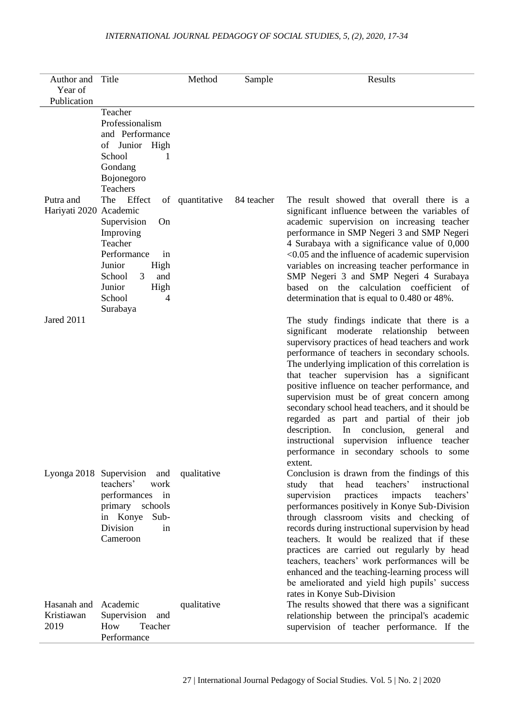## *INTERNATIONAL JOURNAL PEDAGOGY OF SOCIAL STUDIES, 5, (2), 2020, 17-34*

| Author and Title<br>Year of       |                                                                                                                                                                                  | Method          | Sample     | Results                                                                                                                                                                                                                                                                                                                                                                                                                                                                                                                                                                                                                                                       |
|-----------------------------------|----------------------------------------------------------------------------------------------------------------------------------------------------------------------------------|-----------------|------------|---------------------------------------------------------------------------------------------------------------------------------------------------------------------------------------------------------------------------------------------------------------------------------------------------------------------------------------------------------------------------------------------------------------------------------------------------------------------------------------------------------------------------------------------------------------------------------------------------------------------------------------------------------------|
| Publication                       |                                                                                                                                                                                  |                 |            |                                                                                                                                                                                                                                                                                                                                                                                                                                                                                                                                                                                                                                                               |
|                                   | Teacher<br>Professionalism<br>and Performance<br>of Junior High<br>School<br>1<br>Gondang<br>Bojonegoro<br><b>Teachers</b>                                                       |                 |            |                                                                                                                                                                                                                                                                                                                                                                                                                                                                                                                                                                                                                                                               |
| Putra and<br>Hariyati 2020        | Effect<br>The<br>Academic<br>Supervision<br>On<br>Improving<br>Teacher<br>Performance<br>in<br>Junior<br>High<br>3<br>School<br>and<br>Junior<br>High<br>School<br>4<br>Surabaya | of quantitative | 84 teacher | The result showed that overall there is a<br>significant influence between the variables of<br>academic supervision on increasing teacher<br>performance in SMP Negeri 3 and SMP Negeri<br>4 Surabaya with a significance value of 0,000<br>$<$ 0.05 and the influence of academic supervision<br>variables on increasing teacher performance in<br>SMP Negeri 3 and SMP Negeri 4 Surabaya<br>based on the calculation coefficient of<br>determination that is equal to 0.480 or 48%.                                                                                                                                                                         |
| Jared 2011                        |                                                                                                                                                                                  |                 |            | The study findings indicate that there is a<br>significant moderate relationship between<br>supervisory practices of head teachers and work<br>performance of teachers in secondary schools.<br>The underlying implication of this correlation is<br>that teacher supervision has a significant<br>positive influence on teacher performance, and<br>supervision must be of great concern among<br>secondary school head teachers, and it should be<br>regarded as part and partial of their job<br>description.<br>In conclusion,<br>general<br>and<br>instructional<br>supervision influence teacher<br>performance in secondary schools to some<br>extent. |
| Lyonga 2018 Supervision           | and<br>teachers'<br>work<br>performances in<br>primary<br>schools<br>in Konye<br>Sub-<br>Division<br>in<br>Cameroon                                                              | qualitative     |            | Conclusion is drawn from the findings of this<br>head<br>teachers'<br>instructional<br>study that<br>teachers'<br>supervision<br>practices<br>impacts<br>performances positively in Konye Sub-Division<br>through classroom visits and checking of<br>records during instructional supervision by head<br>teachers. It would be realized that if these<br>practices are carried out regularly by head<br>teachers, teachers' work performances will be<br>enhanced and the teaching-learning process will<br>be ameliorated and yield high pupils' success<br>rates in Konye Sub-Division                                                                     |
| Hasanah and<br>Kristiawan<br>2019 | Academic<br>Supervision<br>and<br>How<br>Teacher<br>Performance                                                                                                                  | qualitative     |            | The results showed that there was a significant<br>relationship between the principal's academic<br>supervision of teacher performance. If the                                                                                                                                                                                                                                                                                                                                                                                                                                                                                                                |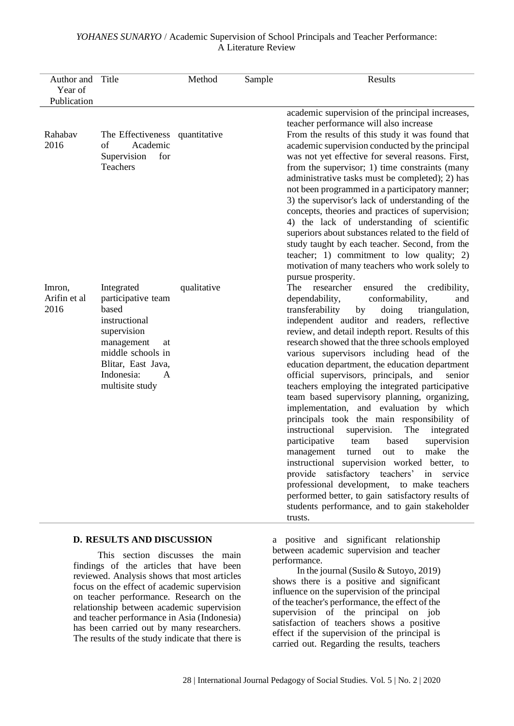| Author and<br>Year of<br>Publication | Title                                                                                                                                                                          | Method      | Sample | Results                                                                                                                                                                                                                                                                                                                                                                                                                                                                                                                                                                                                                                                                                                                                                                                                                                                                                                                                                                                                                                                                                                                                                    |
|--------------------------------------|--------------------------------------------------------------------------------------------------------------------------------------------------------------------------------|-------------|--------|------------------------------------------------------------------------------------------------------------------------------------------------------------------------------------------------------------------------------------------------------------------------------------------------------------------------------------------------------------------------------------------------------------------------------------------------------------------------------------------------------------------------------------------------------------------------------------------------------------------------------------------------------------------------------------------------------------------------------------------------------------------------------------------------------------------------------------------------------------------------------------------------------------------------------------------------------------------------------------------------------------------------------------------------------------------------------------------------------------------------------------------------------------|
| Rahabav<br>2016                      | The Effectiveness quantitative<br>Academic<br>of<br>Supervision<br>for<br>Teachers                                                                                             |             |        | academic supervision of the principal increases,<br>teacher performance will also increase<br>From the results of this study it was found that<br>academic supervision conducted by the principal<br>was not yet effective for several reasons. First,<br>from the supervisor; 1) time constraints (many<br>administrative tasks must be completed); 2) has<br>not been programmed in a participatory manner;<br>3) the supervisor's lack of understanding of the<br>concepts, theories and practices of supervision;<br>4) the lack of understanding of scientific<br>superiors about substances related to the field of<br>study taught by each teacher. Second, from the<br>teacher; 1) commitment to low quality; 2)                                                                                                                                                                                                                                                                                                                                                                                                                                   |
| Imron,<br>Arifin et al<br>2016       | Integrated<br>participative team<br>based<br>instructional<br>supervision<br>management<br>at<br>middle schools in<br>Blitar, East Java,<br>Indonesia:<br>A<br>multisite study | qualitative |        | motivation of many teachers who work solely to<br>pursue prosperity.<br>The<br>researcher<br>the<br>ensured<br>credibility,<br>conformability,<br>dependability,<br>and<br>transferability<br>by<br>doing<br>triangulation,<br>independent auditor and readers, reflective<br>review, and detail indepth report. Results of this<br>research showed that the three schools employed<br>various supervisors including head of the<br>education department, the education department<br>official supervisors, principals, and<br>senior<br>teachers employing the integrated participative<br>team based supervisory planning, organizing,<br>implementation, and evaluation by which<br>principals took the main responsibility of<br>instructional<br>supervision.<br>The<br>integrated<br>participative<br>supervision<br>based<br>team<br>make<br>turned<br>the<br>management<br>out<br>to<br>instructional supervision worked better, to<br>provide satisfactory teachers' in<br>service<br>professional development, to make teachers<br>performed better, to gain satisfactory results of<br>students performance, and to gain stakeholder<br>trusts. |
|                                      | <b>D. RESULTS AND DISCUSSION</b>                                                                                                                                               |             |        | a positive and significant relationship                                                                                                                                                                                                                                                                                                                                                                                                                                                                                                                                                                                                                                                                                                                                                                                                                                                                                                                                                                                                                                                                                                                    |

## *YOHANES SUNARYO* / Academic Supervision of School Principals and Teacher Performance: A Literature Review

This section discusses the main findings of the articles that have been reviewed. Analysis shows that most articles focus on the effect of academic supervision on teacher performance. Research on the relationship between academic supervision and teacher performance in Asia (Indonesia) has been carried out by many researchers. The results of the study indicate that there is a positive and significant relationship between academic supervision and teacher performance.

In the journal (Susilo & Sutoyo, 2019) shows there is a positive and significant influence on the supervision of the principal of the teacher's performance, the effect of the supervision of the principal on job satisfaction of teachers shows a positive effect if the supervision of the principal is carried out. Regarding the results, teachers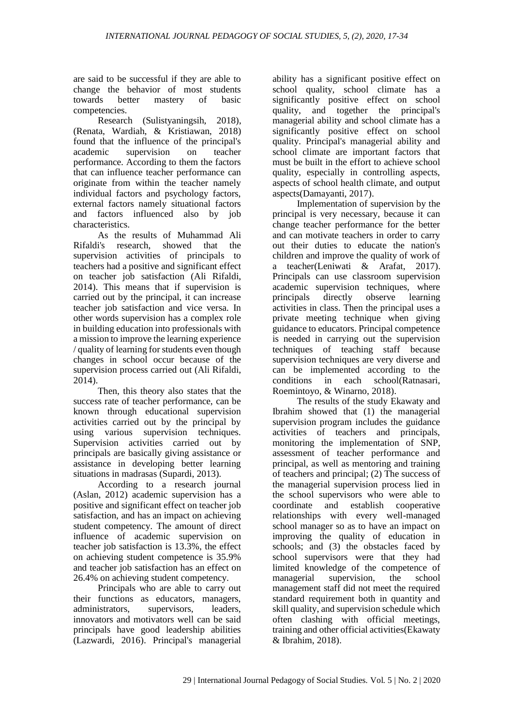are said to be successful if they are able to change the behavior of most students towards better mastery of basic competencies.

Research (Sulistyaningsih, 2018), (Renata, Wardiah, & Kristiawan, 2018) found that the influence of the principal's academic supervision on teacher performance. According to them the factors that can influence teacher performance can originate from within the teacher namely individual factors and psychology factors, external factors namely situational factors and factors influenced also by job characteristics.

As the results of Muhammad Ali Rifaldi's research, showed that the supervision activities of principals to teachers had a positive and significant effect on teacher job satisfaction (Ali Rifaldi, 2014). This means that if supervision is carried out by the principal, it can increase teacher job satisfaction and vice versa. In other words supervision has a complex role in building education into professionals with a mission to improve the learning experience / quality of learning for students even though changes in school occur because of the supervision process carried out (Ali Rifaldi,  $2014$ ).

Then, this theory also states that the success rate of teacher performance, can be known through educational supervision activities carried out by the principal by using various supervision techniques. Supervision activities carried out by principals are basically giving assistance or assistance in developing better learning situations in madrasas (Supardi, 2013).

According to a research journal (Aslan, 2012) academic supervision has a positive and significant effect on teacher job satisfaction, and has an impact on achieving student competency. The amount of direct influence of academic supervision on teacher job satisfaction is 13.3%, the effect on achieving student competence is 35.9% and teacher job satisfaction has an effect on 26.4% on achieving student competency.

Principals who are able to carry out their functions as educators, managers, administrators, supervisors, leaders, innovators and motivators well can be said principals have good leadership abilities (Lazwardi, 2016). Principal's managerial

ability has a significant positive effect on school quality, school climate has a significantly positive effect on school quality, and together the principal's managerial ability and school climate has a significantly positive effect on school quality. Principal's managerial ability and school climate are important factors that must be built in the effort to achieve school quality, especially in controlling aspects, aspects of school health climate, and output aspects(Damayanti, 2017).

Implementation of supervision by the principal is very necessary, because it can change teacher performance for the better and can motivate teachers in order to carry out their duties to educate the nation's children and improve the quality of work of a teacher(Leniwati & Arafat, 2017). Principals can use classroom supervision academic supervision techniques, where principals directly observe learning activities in class. Then the principal uses a private meeting technique when giving guidance to educators. Principal competence is needed in carrying out the supervision techniques of teaching staff because supervision techniques are very diverse and can be implemented according to the conditions in each school(Ratnasari, Roemintoyo, & Winarno, 2018).

The results of the study Ekawaty and Ibrahim showed that (1) the managerial supervision program includes the guidance activities of teachers and principals, monitoring the implementation of SNP, assessment of teacher performance and principal, as well as mentoring and training of teachers and principal; (2) The success of the managerial supervision process lied in the school supervisors who were able to coordinate and establish cooperative relationships with every well-managed school manager so as to have an impact on improving the quality of education in schools; and (3) the obstacles faced by school supervisors were that they had limited knowledge of the competence of managerial supervision, the school management staff did not meet the required standard requirement both in quantity and skill quality, and supervision schedule which often clashing with official meetings, training and other official activities(Ekawaty & Ibrahim, 2018).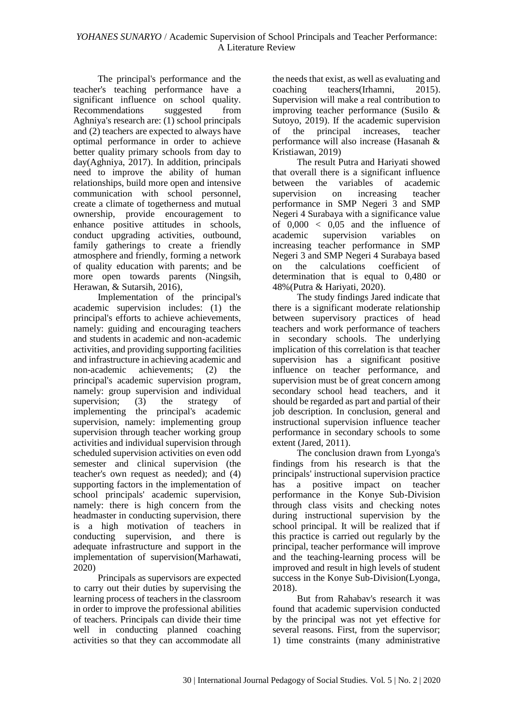The principal's performance and the teacher's teaching performance have a significant influence on school quality. Recommendations suggested from Aghniya's research are: (1) school principals and (2) teachers are expected to always have optimal performance in order to achieve better quality primary schools from day to day(Aghniya, 2017). In addition, principals need to improve the ability of human relationships, build more open and intensive communication with school personnel, create a climate of togetherness and mutual ownership, provide encouragement to enhance positive attitudes in schools, conduct upgrading activities, outbound, family gatherings to create a friendly atmosphere and friendly, forming a network of quality education with parents; and be more open towards parents (Ningsih, Herawan, & Sutarsih, 2016),

Implementation of the principal's academic supervision includes: (1) the principal's efforts to achieve achievements, namely: guiding and encouraging teachers and students in academic and non-academic activities, and providing supporting facilities and infrastructure in achieving academic and non-academic achievements; (2) the principal's academic supervision program, namely: group supervision and individual<br>supervision: (3) the strategy of supervision; (3) the strategy of implementing the principal's academic supervision, namely: implementing group supervision through teacher working group activities and individual supervision through scheduled supervision activities on even odd semester and clinical supervision (the teacher's own request as needed); and (4) supporting factors in the implementation of school principals' academic supervision, namely: there is high concern from the headmaster in conducting supervision, there is a high motivation of teachers in conducting supervision, and there is adequate infrastructure and support in the implementation of supervision(Marhawati, 2020)

Principals as supervisors are expected to carry out their duties by supervising the learning process of teachers in the classroom in order to improve the professional abilities of teachers. Principals can divide their time well in conducting planned coaching activities so that they can accommodate all

the needs that exist, as well as evaluating and coaching teachers(Irhamni, 2015). Supervision will make a real contribution to improving teacher performance (Susilo & Sutoyo, 2019). If the academic supervision of the principal increases, teacher performance will also increase (Hasanah & Kristiawan, 2019)

The result Putra and Hariyati showed that overall there is a significant influence between the variables of academic supervision on increasing teacher performance in SMP Negeri 3 and SMP Negeri 4 Surabaya with a significance value of  $0,000 < 0.05$  and the influence of academic supervision variables on increasing teacher performance in SMP Negeri 3 and SMP Negeri 4 Surabaya based on the calculations coefficient of determination that is equal to 0,480 or 48%(Putra & Hariyati, 2020).

The study findings Jared indicate that there is a significant moderate relationship between supervisory practices of head teachers and work performance of teachers in secondary schools. The underlying implication of this correlation is that teacher supervision has a significant positive influence on teacher performance, and supervision must be of great concern among secondary school head teachers, and it should be regarded as part and partial of their job description. In conclusion, general and instructional supervision influence teacher performance in secondary schools to some extent (Jared, 2011).

The conclusion drawn from Lyonga's findings from his research is that the principals' instructional supervision practice has a positive impact on teacher performance in the Konye Sub-Division through class visits and checking notes during instructional supervision by the school principal. It will be realized that if this practice is carried out regularly by the principal, teacher performance will improve and the teaching-learning process will be improved and result in high levels of student success in the Konye Sub-Division(Lyonga, 2018).

But from Rahabav's research it was found that academic supervision conducted by the principal was not yet effective for several reasons. First, from the supervisor; 1) time constraints (many administrative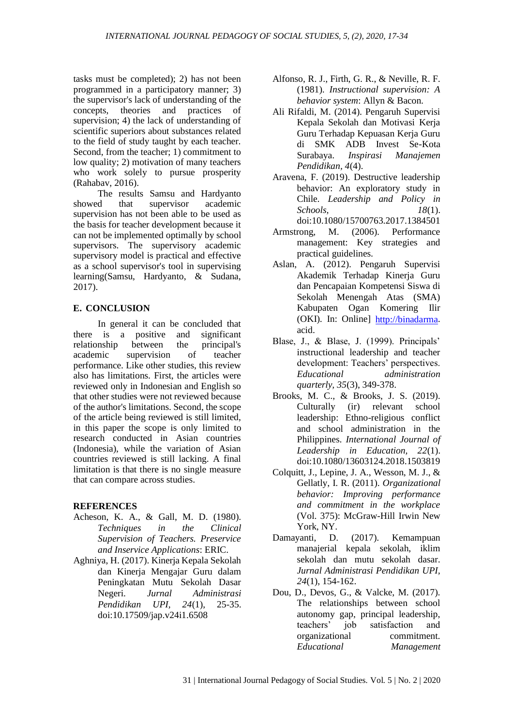tasks must be completed); 2) has not been programmed in a participatory manner; 3) the supervisor's lack of understanding of the concepts, theories and practices of supervision; 4) the lack of understanding of scientific superiors about substances related to the field of study taught by each teacher. Second, from the teacher; 1) commitment to low quality; 2) motivation of many teachers who work solely to pursue prosperity (Rahabav, 2016).

The results Samsu and Hardyanto showed that supervisor academic supervision has not been able to be used as the basis for teacher development because it can not be implemented optimally by school supervisors. The supervisory academic supervisory model is practical and effective as a school supervisor's tool in supervising learning(Samsu, Hardyanto, & Sudana, 2017).

#### **E. CONCLUSION**

In general it can be concluded that there is a positive and significant<br>relationship between the principal's relationship between the principal's academic supervision of teacher performance. Like other studies, this review also has limitations. First, the articles were reviewed only in Indonesian and English so that other studies were not reviewed because of the author's limitations. Second, the scope of the article being reviewed is still limited, in this paper the scope is only limited to research conducted in Asian countries (Indonesia), while the variation of Asian countries reviewed is still lacking. A final limitation is that there is no single measure that can compare across studies.

#### **REFERENCES**

- Acheson, K. A., & Gall, M. D. (1980). *Techniques in the Clinical Supervision of Teachers. Preservice and Inservice Applications*: ERIC.
- Aghniya, H. (2017). Kinerja Kepala Sekolah dan Kinerja Mengajar Guru dalam Peningkatan Mutu Sekolah Dasar Negeri. *Jurnal Administrasi Pendidikan UPI, 24*(1), 25-35. doi:10.17509/jap.v24i1.6508

Alfonso, R. J., Firth, G. R., & Neville, R. F. (1981). *Instructional supervision: A behavior system*: Allyn & Bacon.

- Ali Rifaldi, M. (2014). Pengaruh Supervisi Kepala Sekolah dan Motivasi Kerja Guru Terhadap Kepuasan Kerja Guru di SMK ADB Invest Se-Kota Surabaya. *Inspirasi Manajemen Pendidikan, 4*(4).
- Aravena, F. (2019). Destructive leadership behavior: An exploratory study in Chile. *Leadership and Policy in Schools, 18*(1). doi:10.1080/15700763.2017.1384501
- Armstrong, M. (2006). Performance management: Key strategies and practical guidelines.
- Aslan, A. (2012). Pengaruh Supervisi Akademik Terhadap Kinerja Guru dan Pencapaian Kompetensi Siswa di Sekolah Menengah Atas (SMA) Kabupaten Ogan Komering Ilir (OKI). In: Online] [http://binadarma.](http://binadarma/) acid.
- Blase, J., & Blase, J. (1999). Principals' instructional leadership and teacher development: Teachers' perspectives. *Educational administration quarterly, 35*(3), 349-378.
- Brooks, M. C., & Brooks, J. S. (2019). Culturally (ir) relevant school leadership: Ethno-religious conflict and school administration in the Philippines. *International Journal of Leadership in Education, 22*(1). doi:10.1080/13603124.2018.1503819
- Colquitt, J., Lepine, J. A., Wesson, M. J., & Gellatly, I. R. (2011). *Organizational behavior: Improving performance and commitment in the workplace* (Vol. 375): McGraw-Hill Irwin New York, NY.
- Damayanti, D. (2017). Kemampuan manajerial kepala sekolah, iklim sekolah dan mutu sekolah dasar. *Jurnal Administrasi Pendidikan UPI, 24*(1), 154-162.
- Dou, D., Devos, G., & Valcke, M. (2017). The relationships between school autonomy gap, principal leadership, teachers' job satisfaction and organizational commitment. *Educational Management*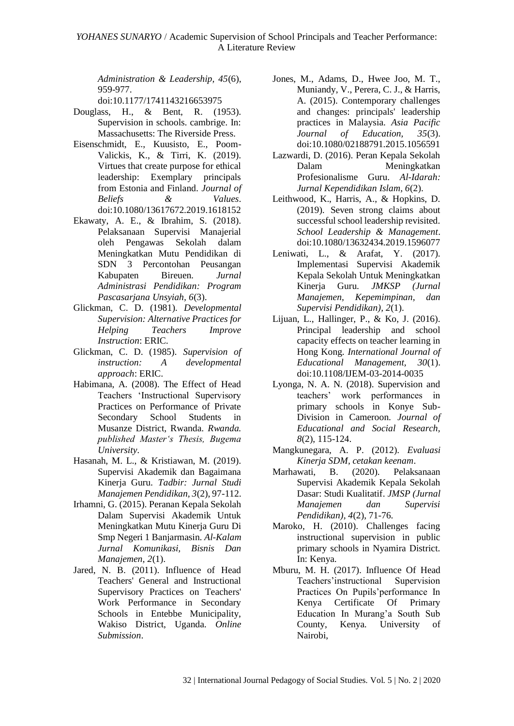*Administration & Leadership, 45*(6), 959-977.

doi:10.1177/1741143216653975

- Douglass, H., & Bent, R. (1953). Supervision in schools. cambrige. In: Massachusetts: The Riverside Press.
- Eisenschmidt, E., Kuusisto, E., Poom-Valickis, K., & Tirri, K. (2019). Virtues that create purpose for ethical leadership: Exemplary principals from Estonia and Finland. *Journal of Beliefs & Values*. doi:10.1080/13617672.2019.1618152
- Ekawaty, A. E., & Ibrahim, S. (2018). Pelaksanaan Supervisi Manajerial oleh Pengawas Sekolah dalam Meningkatkan Mutu Pendidikan di SDN 3 Percontohan Peusangan Kabupaten Bireuen. *Jurnal Administrasi Pendidikan: Program Pascasarjana Unsyiah, 6*(3).
- Glickman, C. D. (1981). *Developmental Supervision: Alternative Practices for Helping Teachers Improve Instruction*: ERIC.
- Glickman, C. D. (1985). *Supervision of instruction: A developmental approach*: ERIC.
- Habimana, A. (2008). The Effect of Head Teachers 'Instructional Supervisory Practices on Performance of Private Secondary School Students in Musanze District, Rwanda. *Rwanda. published Master's Thesis, Bugema University*.
- Hasanah, M. L., & Kristiawan, M. (2019). Supervisi Akademik dan Bagaimana Kinerja Guru. *Tadbir: Jurnal Studi Manajemen Pendidikan, 3*(2), 97-112.
- Irhamni, G. (2015). Peranan Kepala Sekolah Dalam Supervisi Akademik Untuk Meningkatkan Mutu Kinerja Guru Di Smp Negeri 1 Banjarmasin. *Al-Kalam Jurnal Komunikasi, Bisnis Dan Manajemen, 2*(1).
- Jared, N. B. (2011). Influence of Head Teachers' General and Instructional Supervisory Practices on Teachers' Work Performance in Secondary Schools in Entebbe Municipality, Wakiso District, Uganda. *Online Submission*.
- Jones, M., Adams, D., Hwee Joo, M. T., Muniandy, V., Perera, C. J., & Harris, A. (2015). Contemporary challenges and changes: principals' leadership practices in Malaysia. *Asia Pacific Journal of Education, 35*(3). doi:10.1080/02188791.2015.1056591
- Lazwardi, D. (2016). Peran Kepala Sekolah Dalam Meningkatkan Profesionalisme Guru. *Al-Idarah: Jurnal Kependidikan Islam, 6*(2).
- Leithwood, K., Harris, A., & Hopkins, D. (2019). Seven strong claims about successful school leadership revisited. *School Leadership & Management*. doi:10.1080/13632434.2019.1596077
- Leniwati, L., & Arafat, Y. (2017). Implementasi Supervisi Akademik Kepala Sekolah Untuk Meningkatkan Kinerja Guru. *JMKSP (Jurnal Manajemen, Kepemimpinan, dan Supervisi Pendidikan), 2*(1).
- Lijuan, L., Hallinger, P., & Ko, J. (2016). Principal leadership and school capacity effects on teacher learning in Hong Kong. *International Journal of Educational Management, 30*(1). doi:10.1108/IJEM-03-2014-0035
- Lyonga, N. A. N. (2018). Supervision and teachers' work performances in primary schools in Konye Sub-Division in Cameroon. *Journal of Educational and Social Research, 8*(2), 115-124.
- Mangkunegara, A. P. (2012). *Evaluasi Kinerja SDM, cetakan keenam*.
- Marhawati, B. (2020). Pelaksanaan Supervisi Akademik Kepala Sekolah Dasar: Studi Kualitatif. *JMSP (Jurnal Manajemen dan Supervisi Pendidikan), 4*(2), 71-76.
- Maroko, H. (2010). Challenges facing instructional supervision in public primary schools in Nyamira District. In: Kenya.
- Mburu, M. H. (2017). Influence Of Head Teachers'instructional Supervision Practices On Pupils'performance In Kenya Certificate Of Primary Education In Murang'a South Sub County, Kenya*.* University of Nairobi,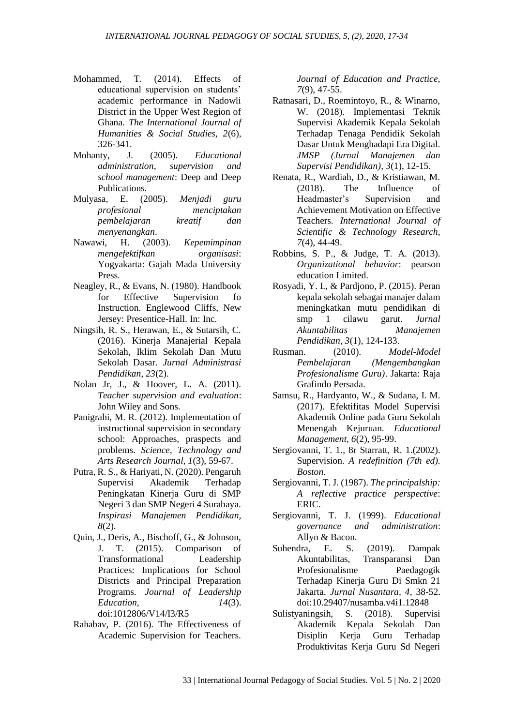- Mohammed, T. (2014). Effects of educational supervision on students' academic performance in Nadowli District in the Upper West Region of Ghana. *The International Journal of Humanities & Social Studies, 2*(6), 326-341.
- Mohanty, J. (2005). *Educational administration, supervision and school management*: Deep and Deep Publications.
- Mulyasa, E. (2005). *Menjadi guru profesional menciptakan pembelajaran kreatif dan menyenangkan*.
- Nawawi, H. (2003). *Kepemimpinan mengefektifkan organisasi*: Yogyakarta: Gajah Mada University Press.
- Neagley, R., & Evans, N. (1980). Handbook for Effective Supervision fo Instruction. Englewood Cliffs, New Jersey: Presentice-Hall. In: Inc.
- Ningsih, R. S., Herawan, E., & Sutarsih, C. (2016). Kinerja Manajerial Kepala Sekolah, Iklim Sekolah Dan Mutu Sekolah Dasar. *Jurnal Administrasi Pendidikan, 23*(2).
- Nolan Jr, J., & Hoover, L. A. (2011). *Teacher supervision and evaluation*: John Wiley and Sons.
- Panigrahi, M. R. (2012). Implementation of instructional supervision in secondary school: Approaches, praspects and problems. *Science, Technology and Arts Research Journal, 1*(3), 59-67.
- Putra, R. S., & Hariyati, N. (2020). Pengaruh Supervisi Akademik Terhadap Peningkatan Kinerja Guru di SMP Negeri 3 dan SMP Negeri 4 Surabaya. *Inspirasi Manajemen Pendidikan, 8*(2).
- Quin, J., Deris, A., Bischoff, G., & Johnson, J. T. (2015). Comparison of Transformational Leadership Practices: Implications for School Districts and Principal Preparation Programs. *Journal of Leadership Education, 14*(3). doi:1012806/V14/I3/R5
- Rahabav, P. (2016). The Effectiveness of Academic Supervision for Teachers.

*Journal of Education and Practice, 7*(9), 47-55.

- Ratnasari, D., Roemintoyo, R., & Winarno, W. (2018). Implementasi Teknik Supervisi Akademik Kepala Sekolah Terhadap Tenaga Pendidik Sekolah Dasar Untuk Menghadapi Era Digital. *JMSP (Jurnal Manajemen dan Supervisi Pendidikan), 3*(1), 12-15.
- Renata, R., Wardiah, D., & Kristiawan, M. (2018). The Influence of Headmaster's Supervision and Achievement Motivation on Effective Teachers. *International Journal of Scientific & Technology Research, 7*(4), 44-49.
- Robbins, S. P., & Judge, T. A. (2013). *Organizational behavior*: pearson education Limited.
- Rosyadi, Y. I., & Pardjono, P. (2015). Peran kepala sekolah sebagai manajer dalam meningkatkan mutu pendidikan di smp 1 cilawu garut. *Jurnal Akuntabilitas Manajemen Pendidikan, 3*(1), 124-133.
- Rusman. (2010). *Model-Model Pembelajaran (Mengembangkan Profesionalisme Guru)*. Jakarta: Raja Grafindo Persada.
- Samsu, R., Hardyanto, W., & Sudana, I. M. (2017). Efektifitas Model Supervisi Akademik Online pada Guru Sekolah Menengah Kejuruan. *Educational Management, 6*(2), 95-99.
- Sergiovanni, T. 1., 8r Starratt, R. 1.(2002). Supervision. *A redefinition (7th ed). Boston*.
- Sergiovanni, T. J. (1987). *The principalship: A reflective practice perspective*: ERIC.
- Sergiovanni, T. J. (1999). *Educational governance and administration*: Allyn & Bacon.
- Suhendra, E. S. (2019). Dampak Akuntabilitas, Transparansi Dan Profesionalisme Paedagogik Terhadap Kinerja Guru Di Smkn 21 Jakarta. *Jurnal Nusantara, 4*, 38-52. doi:10.29407/nusamba.v4i1.12848
- Sulistyaningsih, S. (2018). Supervisi Akademik Kepala Sekolah Dan Disiplin Kerja Guru Terhadap Produktivitas Kerja Guru Sd Negeri